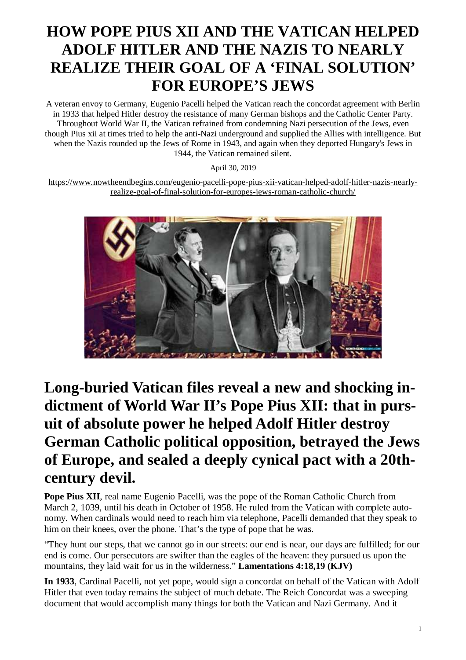# **HOW POPE PIUS XII AND THE VATICAN HELPED ADOLF HITLER AND THE NAZIS TO NEARLY REALIZE THEIR GOAL OF A 'FINAL SOLUTION' FOR EUROPE'S JEWS**

A veteran envoy to Germany, Eugenio Pacelli helped the Vatican reach the concordat agreement with Berlin in 1933 that helped Hitler destroy the resistance of many German bishops and the Catholic Center Party. Throughout World War II, the Vatican refrained from condemning Nazi persecution of the Jews, even though Pius xii at times tried to help the anti-Nazi underground and supplied the Allies with intelligence. But when the Nazis rounded up the Jews of Rome in 1943, and again when they deported Hungary's Jews in 1944, the Vatican remained silent.

April 30, 2019

[https://www.nowtheendbegins.com/eugenio-pacelli-pope-pius-xii-vatican-helped-adolf-hitler-nazis-nearly](https://www.nowtheendbegins.com/eugenio-pacelli-pope-pius-xii-vatican-helped-adolf-hitler-nazis-nearly-)realize-goal-of-final-solution-for-europes-jews-roman-catholic-church/



# **Long-buried Vatican files reveal a new and shocking indictment of World War II's Pope Pius XII: that in pursuit of absolute power he helped Adolf Hitler destroy German Catholic political opposition, betrayed the Jews of Europe, and sealed a deeply cynical pact with a 20thcentury devil.**

**Pope Pius XII**, real name Eugenio Pacelli, was the pope of the Roman Catholic Church from March 2, 1039, until his death in October of 1958. He ruled from the Vatican with complete autonomy. When cardinals would need to reach him via telephone, Pacelli demanded that they speak to him on their knees, over the phone. That's the type of pope that he was.

"They hunt our steps, that we cannot go in our streets: our end is near, our days are fulfilled; for our end is come. Our persecutors are swifter than the eagles of the heaven: they pursued us upon the mountains, they laid wait for us in the wilderness." **Lamentations 4:18,19 (KJV)**

**In 1933**, Cardinal Pacelli, not yet pope, would sign a concordat on behalf of the Vatican with Adolf Hitler that even today remains the subject of much debate. The Reich Concordat was a sweeping document that would accomplish many things for both the Vatican and Nazi Germany. And it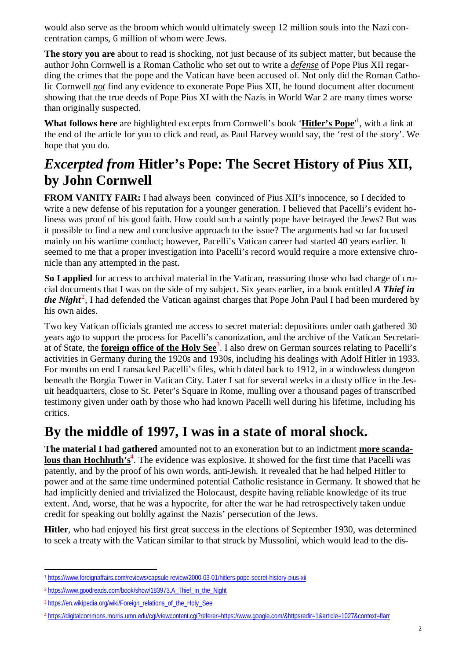would also serve as the broom which would ultimately sweep 12 million souls into the Nazi concentration camps, 6 million of whom were Jews.

**The story you are** about to read is shocking, not just because of its subject matter, but because the author John Cornwell is a Roman Catholic who set out to write a *defense* of Pope Pius XII regarding the crimes that the pope and the Vatican have been accused of. Not only did the Roman Catholic Cornwell *not* find any evidence to exonerate Pope Pius XII, he found document after document showing that the true deeds of Pope Pius XI with the Nazis in World War 2 are many times worse than originally suspected.

**What follows here** are highlighted excerpts from Cornwell's book '**Hitler's Pope**' 1 , with a link at the end of the article for you to click and read, as Paul Harvey would say, the 'rest of the story'. We hope that you do.

### *Excerpted from* **Hitler's Pope: The Secret History of Pius XII, by John Cornwell**

**FROM VANITY FAIR:** I had always been convinced of Pius XII's innocence, so I decided to write a new defense of his reputation for a younger generation. I believed that Pacelli's evident holiness was proof of his good faith. How could such a saintly pope have betrayed the Jews? But was it possible to find a new and conclusive approach to the issue? The arguments had so far focused mainly on his wartime conduct; however, Pacelli's Vatican career had started 40 years earlier. It seemed to me that a proper investigation into Pacelli's record would require a more extensive chronicle than any attempted in the past.

**So I applied** for access to archival material in the Vatican, reassuring those who had charge of crucial documents that I was on the side of my subject. Six years earlier, in a book entitled *A Thief in* the Night<sup>2</sup>, I had defended the Vatican against charges that Pope John Paul I had been murdered by his own aides.

Two key Vatican officials granted me access to secret material: depositions under oath gathered 30 years ago to support the process for Pacelli's canonization, and the archive of the Vatican Secretariat of State, the **foreign office of the Holy See**<sup>3</sup> . I also drew on German sources relating to Pacelli's activities in Germany during the 1920s and 1930s, including his dealings with Adolf Hitler in 1933. For months on end I ransacked Pacelli's files, which dated back to 1912, in a windowless dungeon beneath the Borgia Tower in Vatican City. Later I sat for several weeks in a dusty office in the Jesuit headquarters, close to St. Peter's Square in Rome, mulling over a thousand pages of transcribed testimony given under oath by those who had known Pacelli well during his lifetime, including his critics.

#### **By the middle of 1997, I was in a state of moral shock.**

**The material I had gathered** amounted not to an exoneration but to an indictment **more scanda**lous than Hochhuth's<sup>4</sup>. The evidence was explosive. It showed for the first time that Pacelli was patently, and by the proof of his own words, anti-Jewish. It revealed that he had helped Hitler to power and at the same time undermined potential Catholic resistance in Germany. It showed that he had implicitly denied and trivialized the Holocaust, despite having reliable knowledge of its true extent. And, worse, that he was a hypocrite, for after the war he had retrospectively taken undue credit for speaking out boldly against the Nazis' persecution of the Jews.

**Hitler**, who had enjoyed his first great success in the elections of September 1930, was determined to seek a treaty with the Vatican similar to that struck by Mussolini, which would lead to the dis-

 $\overline{\phantom{a}}$ <sup>1</sup> <https://www.foreignaffairs.com/reviews/capsule-review/2000-03-01/hitlers-pope-secret-history-pius-xii>

<sup>2</sup> [https://www.goodreads.com/book/show/183973.A\\_Thief\\_in\\_the\\_Night](https://www.goodreads.com/book/show/183973.A_Thief_in_the_Night)

<sup>3</sup> [https://en.wikipedia.org/wiki/Foreign\\_relations\\_of\\_the\\_Holy\\_See](https://en.wikipedia.org/wiki/Foreign_relations_of_the_Holy_See)

<sup>4</sup> <https://digitalcommons.morris.umn.edu/cgi/viewcontent.cgi?referer=https://www.google.com/&httpsredir=1&article=1027&context=flarr>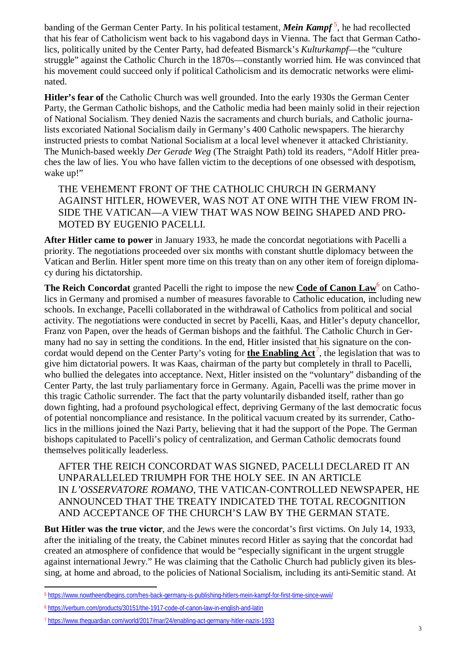banding of the German Center Party. In his political testament, *Mein Kampf* <sup>5</sup> , he had recollected that his fear of Catholicism went back to his vagabond days in Vienna. The fact that German Catholics, politically united by the Center Party, had defeated Bismarck's *Kulturkampf*—the "culture struggle" against the Catholic Church in the 1870s—constantly worried him. He was convinced that his movement could succeed only if political Catholicism and its democratic networks were eliminated.

**Hitler's fear of** the Catholic Church was well grounded. Into the early 1930s the German Center Party, the German Catholic bishops, and the Catholic media had been mainly solid in their rejection of National Socialism. They denied Nazis the sacraments and church burials, and Catholic journalists excoriated National Socialism daily in Germany's 400 Catholic newspapers. The hierarchy instructed priests to combat National Socialism at a local level whenever it attacked Christianity. The Munich-based weekly *Der Gerade Weg* (The Straight Path) told its readers, "Adolf Hitler preaches the law of lies. You who have fallen victim to the deceptions of one obsessed with despotism, wake up!"

THE VEHEMENT FRONT OF THE CATHOLIC CHURCH IN GERMANY AGAINST HITLER, HOWEVER, WAS NOT AT ONE WITH THE VIEW FROM IN-SIDE THE VATICAN—A VIEW THAT WAS NOW BEING SHAPED AND PRO-MOTED BY EUGENIO PACELLI.

**After Hitler came to power** in January 1933, he made the concordat negotiations with Pacelli a priority. The negotiations proceeded over six months with constant shuttle diplomacy between the Vatican and Berlin. Hitler spent more time on this treaty than on any other item of foreign diplomacy during his dictatorship.

**The Reich Concordat** granted Pacelli the right to impose the new **Code of Canon Law**<sup>6</sup> on Catholics in Germany and promised a number of measures favorable to Catholic education, including new schools. In exchange, Pacelli collaborated in the withdrawal of Catholics from political and social activity. The negotiations were conducted in secret by Pacelli, Kaas, and Hitler's deputy chancellor, Franz von Papen, over the heads of German bishops and the faithful. The Catholic Church in Germany had no say in setting the conditions. In the end, Hitler insisted that his signature on the concordat would depend on the Center Party's voting for **the Enabling Act** <sup>7</sup> , the legislation that was to give him dictatorial powers. It was Kaas, chairman of the party but completely in thrall to Pacelli, who bullied the delegates into acceptance. Next, Hitler insisted on the "voluntary" disbanding of the Center Party, the last truly parliamentary force in Germany. Again, Pacelli was the prime mover in this tragic Catholic surrender. The fact that the party voluntarily disbanded itself, rather than go down fighting, had a profound psychological effect, depriving Germany of the last democratic focus of potential noncompliance and resistance. In the political vacuum created by its surrender, Catholics in the millions joined the Nazi Party, believing that it had the support of the Pope. The German bishops capitulated to Pacelli's policy of centralization, and German Catholic democrats found themselves politically leaderless.

AFTER THE REICH CONCORDAT WAS SIGNED, PACELLI DECLARED IT AN UNPARALLELED TRIUMPH FOR THE HOLY SEE. IN AN ARTICLE IN *L'OSSERVATORE ROMANO*, THE VATICAN-CONTROLLED NEWSPAPER, HE ANNOUNCED THAT THE TREATY INDICATED THE TOTAL RECOGNITION AND ACCEPTANCE OF THE CHURCH'S LAW BY THE GERMAN STATE.

**But Hitler was the true victor**, and the Jews were the concordat's first victims. On July 14, 1933, after the initialing of the treaty, the Cabinet minutes record Hitler as saying that the concordat had created an atmosphere of confidence that would be "especially significant in the urgent struggle against international Jewry." He was claiming that the Catholic Church had publicly given its blessing, at home and abroad, to the policies of National Socialism, including its anti-Semitic stand. At

 $\overline{a}$ <sup>5</sup> <https://www.nowtheendbegins.com/hes-back-germany-is-publishing-hitlers-mein-kampf-for-first-time-since-wwii/>

<sup>6</sup> <https://verbum.com/products/30151/the-1917-code-of-canon-law-in-english-and-latin>

<sup>7</sup> <https://www.theguardian.com/world/2017/mar/24/enabling-act-germany-hitler-nazis-1933>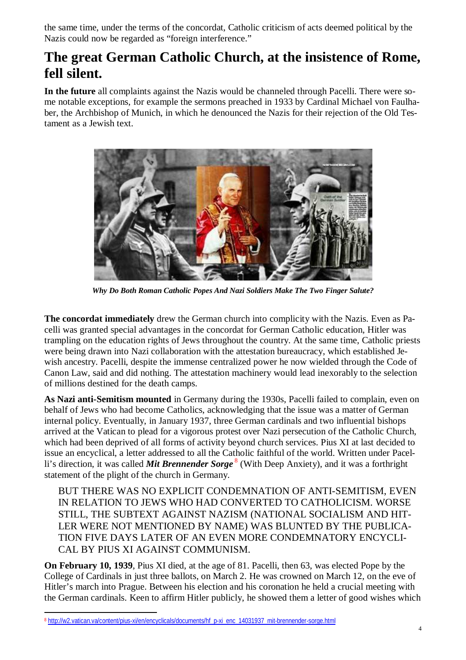the same time, under the terms of the concordat, Catholic criticism of acts deemed political by the Nazis could now be regarded as "foreign interference."

#### **The great German Catholic Church, at the insistence of Rome, fell silent.**

**In the future** all complaints against the Nazis would be channeled through Pacelli. There were some notable exceptions, for example the sermons preached in 1933 by Cardinal Michael von Faulhaber, the Archbishop of Munich, in which he denounced the Nazis for their rejection of the Old Testament as a Jewish text.



*Why Do Both Roman Catholic Popes And Nazi Soldiers Make The Two Finger Salute?*

**The concordat immediately** drew the German church into complicity with the Nazis. Even as Pacelli was granted special advantages in the concordat for German Catholic education, Hitler was trampling on the education rights of Jews throughout the country. At the same time, Catholic priests were being drawn into Nazi collaboration with the attestation bureaucracy, which established Jewish ancestry. Pacelli, despite the immense centralized power he now wielded through the Code of Canon Law, said and did nothing. The attestation machinery would lead inexorably to the selection of millions destined for the death camps.

**As Nazi anti-Semitism mounted** in Germany during the 1930s, Pacelli failed to complain, even on behalf of Jews who had become Catholics, acknowledging that the issue was a matter of German internal policy. Eventually, in January 1937, three German cardinals and two influential bishops arrived at the Vatican to plead for a vigorous protest over Nazi persecution of the Catholic Church, which had been deprived of all forms of activity beyond church services. Pius XI at last decided to issue an encyclical, a letter addressed to all the Catholic faithful of the world. Written under Pacelli's direction, it was called *Mit Brennender Sorge* <sup>8</sup> (With Deep Anxiety), and it was a forthright statement of the plight of the church in Germany.

BUT THERE WAS NO EXPLICIT CONDEMNATION OF ANTI-SEMITISM, EVEN IN RELATION TO JEWS WHO HAD CONVERTED TO CATHOLICISM. WORSE STILL, THE SUBTEXT AGAINST NAZISM (NATIONAL SOCIALISM AND HIT-LER WERE NOT MENTIONED BY NAME) WAS BLUNTED BY THE PUBLICA-TION FIVE DAYS LATER OF AN EVEN MORE CONDEMNATORY ENCYCLI-CAL BY PIUS XI AGAINST COMMUNISM.

**On February 10, 1939**, Pius XI died, at the age of 81. Pacelli, then 63, was elected Pope by the College of Cardinals in just three ballots, on March 2. He was crowned on March 12, on the eve of Hitler's march into Prague. Between his election and his coronation he held a crucial meeting with the German cardinals. Keen to affirm Hitler publicly, he showed them a letter of good wishes which

 $\overline{a}$ <sup>8</sup> [http://w2.vatican.va/content/pius-xi/en/encyclicals/documents/hf\\_p-xi\\_enc\\_14031937\\_mit-brennender-sorge.html](http://w2.vatican.va/content/pius-xi/en/encyclicals/documents/hf_p-xi_enc_14031937_mit-brennender-sorge.html)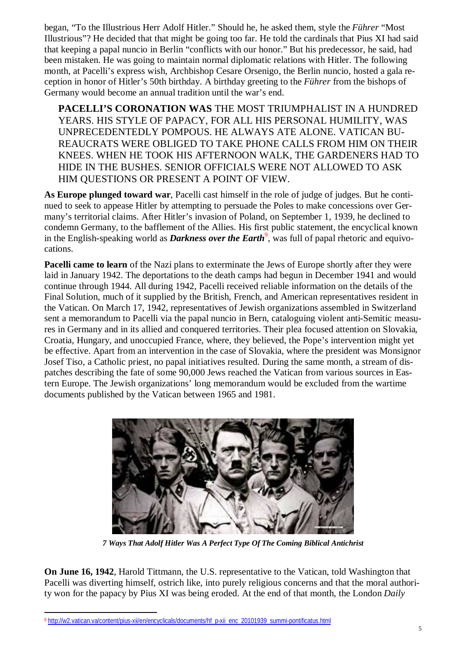began, "To the Illustrious Herr Adolf Hitler." Should he, he asked them, style the *Führer* "Most Illustrious"? He decided that that might be going too far. He told the cardinals that Pius XI had said that keeping a papal nuncio in Berlin "conflicts with our honor." But his predecessor, he said, had been mistaken. He was going to maintain normal diplomatic relations with Hitler. The following month, at Pacelli's express wish, Archbishop Cesare Orsenigo, the Berlin nuncio, hosted a gala reception in honor of Hitler's 50th birthday. A birthday greeting to the *Führer* from the bishops of Germany would become an annual tradition until the war's end.

**PACELLI'S CORONATION WAS** THE MOST TRIUMPHALIST IN A HUNDRED YEARS. HIS STYLE OF PAPACY, FOR ALL HIS PERSONAL HUMILITY, WAS UNPRECEDENTEDLY POMPOUS. HE ALWAYS ATE ALONE. VATICAN BU-REAUCRATS WERE OBLIGED TO TAKE PHONE CALLS FROM HIM ON THEIR KNEES. WHEN HE TOOK HIS AFTERNOON WALK, THE GARDENERS HAD TO HIDE IN THE BUSHES. SENIOR OFFICIALS WERE NOT ALLOWED TO ASK HIM QUESTIONS OR PRESENT A POINT OF VIEW.

**As Europe plunged toward war**, Pacelli cast himself in the role of judge of judges. But he continued to seek to appease Hitler by attempting to persuade the Poles to make concessions over Germany's territorial claims. After Hitler's invasion of Poland, on September 1, 1939, he declined to condemn Germany, to the bafflement of the Allies. His first public statement, the encyclical known in the English-speaking world as *Darkness over the Earth*<sup>9</sup>, was full of papal rhetoric and equivocations.

**Pacelli came to learn** of the Nazi plans to exterminate the Jews of Europe shortly after they were laid in January 1942. The deportations to the death camps had begun in December 1941 and would continue through 1944. All during 1942, Pacelli received reliable information on the details of the Final Solution, much of it supplied by the British, French, and American representatives resident in the Vatican. On March 17, 1942, representatives of Jewish organizations assembled in Switzerland sent a memorandum to Pacelli via the papal nuncio in Bern, cataloguing violent anti-Semitic measures in Germany and in its allied and conquered territories. Their plea focused attention on Slovakia, Croatia, Hungary, and unoccupied France, where, they believed, the Pope's intervention might yet be effective. Apart from an intervention in the case of Slovakia, where the president was Monsignor Josef Tiso, a Catholic priest, no papal initiatives resulted. During the same month, a stream of dispatches describing the fate of some 90,000 Jews reached the Vatican from various sources in Eastern Europe. The Jewish organizations' long memorandum would be excluded from the wartime documents published by the Vatican between 1965 and 1981.



*7 Ways That Adolf Hitler Was A Perfect Type Of The Coming Biblical Antichrist*

**On June 16, 1942**, Harold Tittmann, the U.S. representative to the Vatican, told Washington that Pacelli was diverting himself, ostrich like, into purely religious concerns and that the moral authority won for the papacy by Pius XI was being eroded. At the end of that month, the London *Daily*

 $\overline{a}$ <sup>9</sup> [http://w2.vatican.va/content/pius-xii/en/encyclicals/documents/hf\\_p-xii\\_enc\\_20101939\\_summi-pontificatus.html](http://w2.vatican.va/content/pius-xii/en/encyclicals/documents/hf_p-xii_enc_20101939_summi-pontificatus.html)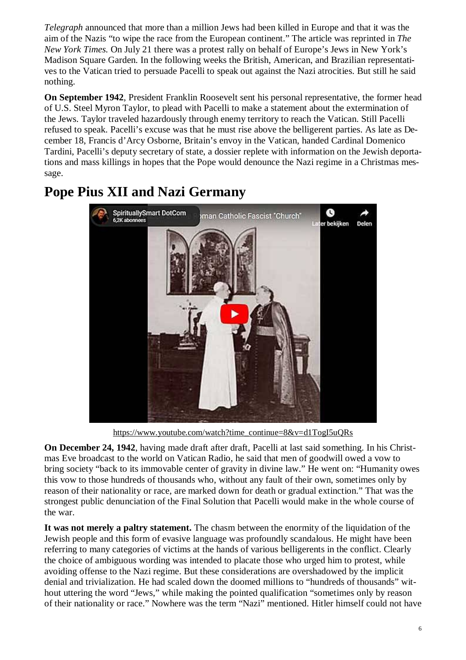*Telegraph* announced that more than a million Jews had been killed in Europe and that it was the aim of the Nazis "to wipe the race from the European continent." The article was reprinted in *The New York Times.* On July 21 there was a protest rally on behalf of Europe's Jews in New York's Madison Square Garden. In the following weeks the British, American, and Brazilian representatives to the Vatican tried to persuade Pacelli to speak out against the Nazi atrocities. But still he said nothing.

**On September 1942**, President Franklin Roosevelt sent his personal representative, the former head of U.S. Steel Myron Taylor, to plead with Pacelli to make a statement about the extermination of the Jews. Taylor traveled hazardously through enemy territory to reach the Vatican. Still Pacelli refused to speak. Pacelli's excuse was that he must rise above the belligerent parties. As late as December 18, Francis d'Arcy Osborne, Britain's envoy in the Vatican, handed Cardinal Domenico Tardini, Pacelli's deputy secretary of state, a dossier replete with information on the Jewish deportations and mass killings in hopes that the Pope would denounce the Nazi regime in a Christmas message.



### **Pope Pius XII and Nazi Germany**

[https://www.youtube.com/watch?time\\_continue=8&v=d1TogI5uQRs](https://www.youtube.com/watch?time_continue=8&v=d1TogI5uQRs)

**On December 24, 1942**, having made draft after draft, Pacelli at last said something. In his Christmas Eve broadcast to the world on Vatican Radio, he said that men of goodwill owed a vow to bring society "back to its immovable center of gravity in divine law." He went on: "Humanity owes this vow to those hundreds of thousands who, without any fault of their own, sometimes only by reason of their nationality or race, are marked down for death or gradual extinction." That was the strongest public denunciation of the Final Solution that Pacelli would make in the whole course of the war.

**It was not merely a paltry statement.** The chasm between the enormity of the liquidation of the Jewish people and this form of evasive language was profoundly scandalous. He might have been referring to many categories of victims at the hands of various belligerents in the conflict. Clearly the choice of ambiguous wording was intended to placate those who urged him to protest, while avoiding offense to the Nazi regime. But these considerations are overshadowed by the implicit denial and trivialization. He had scaled down the doomed millions to "hundreds of thousands" without uttering the word "Jews," while making the pointed qualification "sometimes only by reason of their nationality or race." Nowhere was the term "Nazi" mentioned. Hitler himself could not have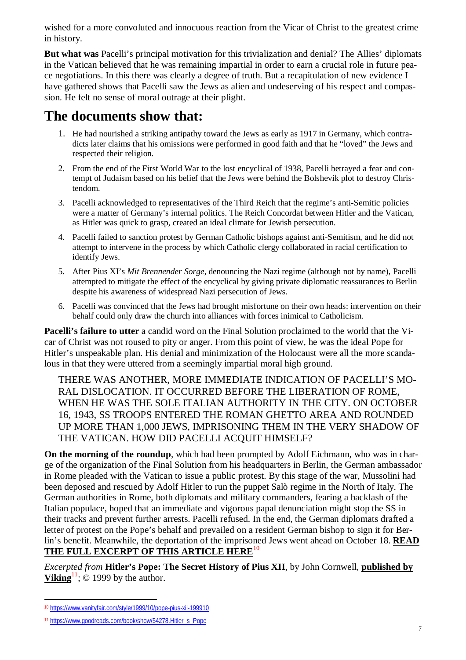wished for a more convoluted and innocuous reaction from the Vicar of Christ to the greatest crime in history.

**But what was** Pacelli's principal motivation for this trivialization and denial? The Allies' diplomats in the Vatican believed that he was remaining impartial in order to earn a crucial role in future peace negotiations. In this there was clearly a degree of truth. But a recapitulation of new evidence I have gathered shows that Pacelli saw the Jews as alien and undeserving of his respect and compassion. He felt no sense of moral outrage at their plight.

#### **The documents show that:**

- 1. He had nourished a striking antipathy toward the Jews as early as 1917 in Germany, which contradicts later claims that his omissions were performed in good faith and that he "loved" the Jews and respected their religion.
- 2. From the end of the First World War to the lost encyclical of 1938, Pacelli betrayed a fear and contempt of Judaism based on his belief that the Jews were behind the Bolshevik plot to destroy Christendom.
- 3. Pacelli acknowledged to representatives of the Third Reich that the regime's anti-Semitic policies were a matter of Germany's internal politics. The Reich Concordat between Hitler and the Vatican, as Hitler was quick to grasp, created an ideal climate for Jewish persecution.
- 4. Pacelli failed to sanction protest by German Catholic bishops against anti-Semitism, and he did not attempt to intervene in the process by which Catholic clergy collaborated in racial certification to identify Jews.
- 5. After Pius XI's *Mit Brennender Sorge*, denouncing the Nazi regime (although not by name), Pacelli attempted to mitigate the effect of the encyclical by giving private diplomatic reassurances to Berlin despite his awareness of widespread Nazi persecution of Jews.
- 6. Pacelli was convinced that the Jews had brought misfortune on their own heads: intervention on their behalf could only draw the church into alliances with forces inimical to Catholicism.

**Pacelli's failure to utter** a candid word on the Final Solution proclaimed to the world that the Vicar of Christ was not roused to pity or anger. From this point of view, he was the ideal Pope for Hitler's unspeakable plan. His denial and minimization of the Holocaust were all the more scandalous in that they were uttered from a seemingly impartial moral high ground.

THERE WAS ANOTHER, MORE IMMEDIATE INDICATION OF PACELLI'S MO-RAL DISLOCATION. IT OCCURRED BEFORE THE LIBERATION OF ROME, WHEN HE WAS THE SOLE ITALIAN AUTHORITY IN THE CITY. ON OCTOBER 16, 1943, SS TROOPS ENTERED THE ROMAN GHETTO AREA AND ROUNDED UP MORE THAN 1,000 JEWS, IMPRISONING THEM IN THE VERY SHADOW OF THE VATICAN. HOW DID PACELLI ACQUIT HIMSELF?

**On the morning of the roundup**, which had been prompted by Adolf Eichmann, who was in charge of the organization of the Final Solution from his headquarters in Berlin, the German ambassador in Rome pleaded with the Vatican to issue a public protest. By this stage of the war, Mussolini had been deposed and rescued by Adolf Hitler to run the puppet Salò regime in the North of Italy. The German authorities in Rome, both diplomats and military commanders, fearing a backlash of the Italian populace, hoped that an immediate and vigorous papal denunciation might stop the SS in their tracks and prevent further arrests. Pacelli refused. In the end, the German diplomats drafted a letter of protest on the Pope's behalf and prevailed on a resident German bishop to sign it for Berlin's benefit. Meanwhile, the deportation of the imprisoned Jews went ahead on October 18. **READ THE FULL EXCERPT OF THIS ARTICLE HERE**<sup>10</sup>

*Excerpted from* **Hitler's Pope: The Secret History of Pius XII**, by John Cornwell, **published by Viking**<sup>11</sup>;  $\odot$  1999 by the author.

 $\overline{\phantom{a}}$ <sup>10</sup> <https://www.vanityfair.com/style/1999/10/pope-pius-xii-199910>

<sup>11</sup> [https://www.goodreads.com/book/show/54278.Hitler\\_s\\_Pope](https://www.goodreads.com/book/show/54278.Hitler_s_Pope)